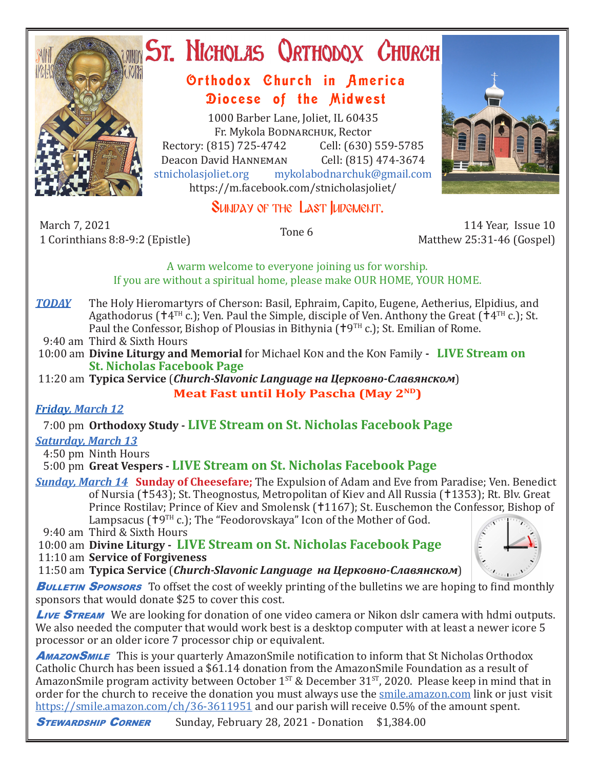

# **ST. NICHOLAS QRTHODOX CHURCH**

## Orthodox Church in America Diocese of the Midwest

1000 Barber Lane, Joliet, IL 60435 Fr. Mykola Bodnarchuk, Rector Rectory: (815) 725-4742 Cell: (630) 559-5785<br>Deacon David HANNEMAN Cell: (815) 474-3674 Deacon David Hanneman<br>stnicholasioliet.org mykola mykolabodnarchuk@gmail.com https://m.facebook.com/stnicholasjoliet/



## SUNDAY OF THE LAST **LUDGMENT.**

March 7, 2021 March 7, 2021 114 Year, Issue 10<br>1 Corinthians 8:8-9:2 (Epistle) 1 Corinthians 8:8-9:2 (Epistle)

Matthew 25:31-46 (Gospel)

A warm welcome to everyone joining us for worship. If you are without a spiritual home, please make OUR HOME, YOUR HOME.

- *TODAY* The Holy Hieromartyrs of Cherson: Basil, Ephraim, Capito, Eugene, Aetherius, Elpidius, and Agathodorus ( $\uparrow$ 4<sup>TH</sup> c.); Ven. Paul the Simple, disciple of Ven. Anthony the Great ( $\uparrow$ 4<sup>TH</sup> c.); St. Paul the Confessor, Bishop of Plousias in Bithynia ( $\uparrow$ 9<sup>TH</sup> c.); St. Emilian of Rome.
- 9:40 am Third & Sixth Hours
- 10:00 am **Divine Liturgy and Memorial** for Michael Kon and the Kon Family  **LIVE Stream on St. Nicholas Facebook Page**
- 11:20 am **Typica Service** (*Church-Slavonic Language на Церковно-Славянском*) **Meat Fast until Holy Pascha (May 2ND)**

### *Friday, March 12*

7:00 pm **Orthodoxy Study - LIVE Stream on St. Nicholas Facebook Page**

#### *Saturday, March 13*

4:50 pm Ninth Hours

### 5:00 pm **Great Vespers - LIVE Stream on St. Nicholas Facebook Page**

*Sunday, March 14* **Sunday of Cheesefare;** The Expulsion of Adam and Eve from Paradise; Ven. Benedict of Nursia (†543); St. Theognostus, Metropolitan of Kiev and All Russia (†1353); Rt. Bly. Great Prince Rostilav; Prince of Kiev and Smolensk (†1167); St. Euschemon the Confessor, Bishop of Lampsacus ( $\uparrow$ 9TH c.); The "Feodorovskaya" Icon of the Mother of God.

9:40 am Third & Sixth Hours

 10:00 am **Divine Liturgy - LIVE Stream on St. Nicholas Facebook Page** 11:10 am **Service of Forgiveness**

11:50 am **Typica Service** (*Church-Slavonic Language на Церковно-Славянском*)

**BULLETIN SPONSORS** To offset the cost of weekly printing of the bulletins we are hoping to find monthly sponsors that would donate \$25 to cover this cost.

**Live STREAM** We are looking for donation of one video camera or Nikon dslr camera with hdmi outputs. We also needed the computer that would work best is a desktop computer with at least a newer icore 5 processor or an older icore 7 processor chip or equivalent.

**Amazon SMILE** This is your quarterly Amazon Smile notification to inform that St Nicholas Orthodox Catholic Church has been issued a \$61.14 donation from the AmazonSmile Foundation as a result of AmazonSmile program activity between October  $1^{ST}$  & December  $31^{ST}$ , 2020. Please keep in mind that in order for the church to receive the donation you must always use the smile.amazon.com link or just visit https://smile.amazon.com/ch/36-3611951 and our parish will receive 0.5% of the amount spent.

**STEWARDSHIP CORNER** Sunday, February 28, 2021 - Donation \$1,384.00